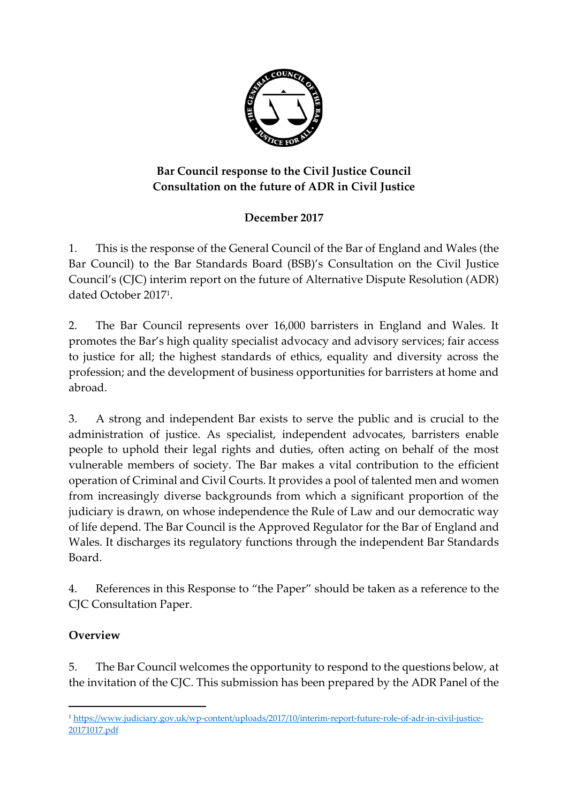

# **Bar Council response to the Civil Justice Council Consultation on the future of ADR in Civil Justice**

# **December 2017**

1. This is the response of the General Council of the Bar of England and Wales (the Bar Council) to the Bar Standards Board (BSB)'s Consultation on the Civil Justice Council's (CJC) interim report on the future of Alternative Dispute Resolution (ADR) dated October 2017<sup>1</sup> .

2. The Bar Council represents over 16,000 barristers in England and Wales. It promotes the Bar's high quality specialist advocacy and advisory services; fair access to justice for all; the highest standards of ethics, equality and diversity across the profession; and the development of business opportunities for barristers at home and abroad.

3. A strong and independent Bar exists to serve the public and is crucial to the administration of justice. As specialist, independent advocates, barristers enable people to uphold their legal rights and duties, often acting on behalf of the most vulnerable members of society. The Bar makes a vital contribution to the efficient operation of Criminal and Civil Courts. It provides a pool of talented men and women from increasingly diverse backgrounds from which a significant proportion of the judiciary is drawn, on whose independence the Rule of Law and our democratic way of life depend. The Bar Council is the Approved Regulator for the Bar of England and Wales. It discharges its regulatory functions through the independent Bar Standards Board.

4. References in this Response to "the Paper" should be taken as a reference to the CJC Consultation Paper.

# **Overview**

5. The Bar Council welcomes the opportunity to respond to the questions below, at the invitation of the CJC. This submission has been prepared by the ADR Panel of the

<sup>&</sup>lt;u>.</u> <sup>1</sup> [https://www.judiciary.gov.uk/wp-content/uploads/2017/10/interim-report-future-role-of-adr-in-civil-justice-](https://www.judiciary.gov.uk/wp-content/uploads/2017/10/interim-report-future-role-of-adr-in-civil-justice-20171017.pdf)[20171017.pdf](https://www.judiciary.gov.uk/wp-content/uploads/2017/10/interim-report-future-role-of-adr-in-civil-justice-20171017.pdf)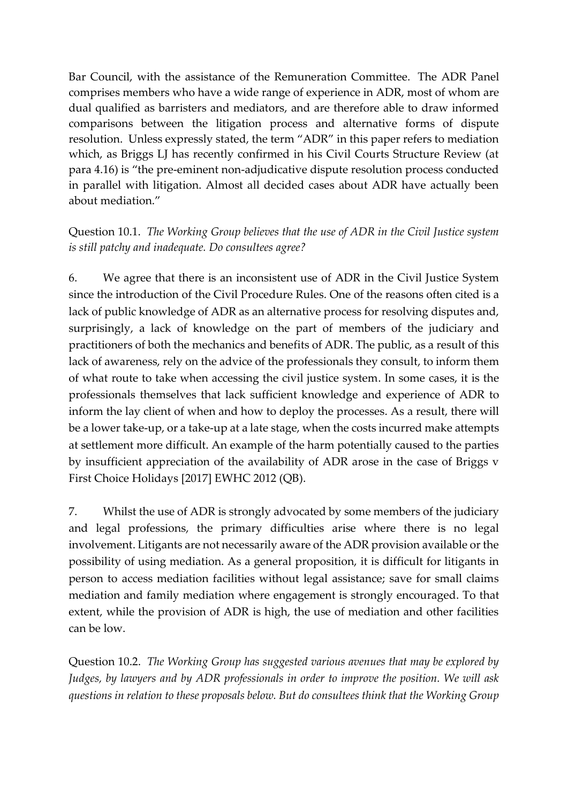Bar Council, with the assistance of the Remuneration Committee. The ADR Panel comprises members who have a wide range of experience in ADR, most of whom are dual qualified as barristers and mediators, and are therefore able to draw informed comparisons between the litigation process and alternative forms of dispute resolution. Unless expressly stated, the term "ADR" in this paper refers to mediation which, as Briggs LJ has recently confirmed in his Civil Courts Structure Review (at para 4.16) is "the pre-eminent non-adjudicative dispute resolution process conducted in parallel with litigation. Almost all decided cases about ADR have actually been about mediation."

## Question 10.1. *The Working Group believes that the use of ADR in the Civil Justice system is still patchy and inadequate. Do consultees agree?*

6. We agree that there is an inconsistent use of ADR in the Civil Justice System since the introduction of the Civil Procedure Rules. One of the reasons often cited is a lack of public knowledge of ADR as an alternative process for resolving disputes and, surprisingly, a lack of knowledge on the part of members of the judiciary and practitioners of both the mechanics and benefits of ADR. The public, as a result of this lack of awareness, rely on the advice of the professionals they consult, to inform them of what route to take when accessing the civil justice system. In some cases, it is the professionals themselves that lack sufficient knowledge and experience of ADR to inform the lay client of when and how to deploy the processes. As a result, there will be a lower take-up, or a take-up at a late stage, when the costs incurred make attempts at settlement more difficult. An example of the harm potentially caused to the parties by insufficient appreciation of the availability of ADR arose in the case of Briggs v First Choice Holidays [2017] EWHC 2012 (QB).

7. Whilst the use of ADR is strongly advocated by some members of the judiciary and legal professions, the primary difficulties arise where there is no legal involvement. Litigants are not necessarily aware of the ADR provision available or the possibility of using mediation. As a general proposition, it is difficult for litigants in person to access mediation facilities without legal assistance; save for small claims mediation and family mediation where engagement is strongly encouraged. To that extent, while the provision of ADR is high, the use of mediation and other facilities can be low.

Question 10.2. *The Working Group has suggested various avenues that may be explored by Judges, by lawyers and by ADR professionals in order to improve the position. We will ask questions in relation to these proposals below. But do consultees think that the Working Group*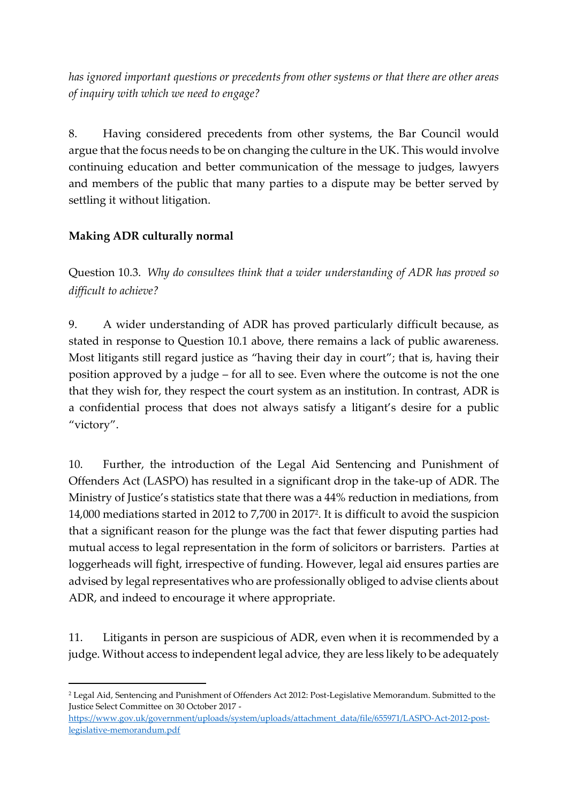*has ignored important questions or precedents from other systems or that there are other areas of inquiry with which we need to engage?*

8. Having considered precedents from other systems, the Bar Council would argue that the focus needs to be on changing the culture in the UK. This would involve continuing education and better communication of the message to judges, lawyers and members of the public that many parties to a dispute may be better served by settling it without litigation.

## **Making ADR culturally normal**

Question 10.3. *Why do consultees think that a wider understanding of ADR has proved so difficult to achieve?* 

9. A wider understanding of ADR has proved particularly difficult because, as stated in response to Question 10.1 above, there remains a lack of public awareness. Most litigants still regard justice as "having their day in court"; that is, having their position approved by a judge – for all to see. Even where the outcome is not the one that they wish for, they respect the court system as an institution. In contrast, ADR is a confidential process that does not always satisfy a litigant's desire for a public "victory".

10. Further, the introduction of the Legal Aid Sentencing and Punishment of Offenders Act (LASPO) has resulted in a significant drop in the take-up of ADR. The Ministry of Justice's statistics state that there was a 44% reduction in mediations, from 14,000 mediations started in 2012 to 7,700 in 2017<sup>2</sup> . It is difficult to avoid the suspicion that a significant reason for the plunge was the fact that fewer disputing parties had mutual access to legal representation in the form of solicitors or barristers. Parties at loggerheads will fight, irrespective of funding. However, legal aid ensures parties are advised by legal representatives who are professionally obliged to advise clients about ADR, and indeed to encourage it where appropriate.

11. Litigants in person are suspicious of ADR, even when it is recommended by a judge. Without access to independent legal advice, they are less likely to be adequately

[https://www.gov.uk/government/uploads/system/uploads/attachment\\_data/file/655971/LASPO-Act-2012-post](https://www.gov.uk/government/uploads/system/uploads/attachment_data/file/655971/LASPO-Act-2012-post-legislative-memorandum.pdf)[legislative-memorandum.pdf](https://www.gov.uk/government/uploads/system/uploads/attachment_data/file/655971/LASPO-Act-2012-post-legislative-memorandum.pdf)

<sup>1</sup> <sup>2</sup> Legal Aid, Sentencing and Punishment of Offenders Act 2012: Post-Legislative Memorandum. Submitted to the Justice Select Committee on 30 October 2017 -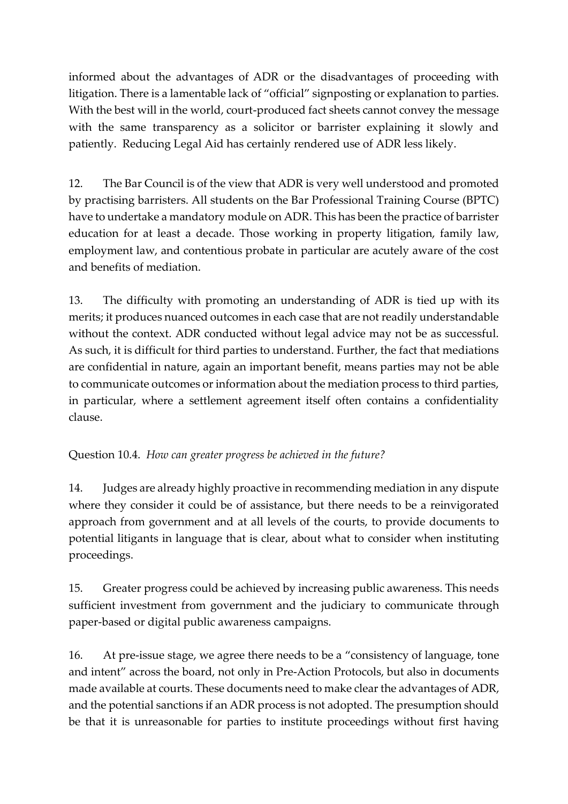informed about the advantages of ADR or the disadvantages of proceeding with litigation. There is a lamentable lack of "official" signposting or explanation to parties. With the best will in the world, court-produced fact sheets cannot convey the message with the same transparency as a solicitor or barrister explaining it slowly and patiently. Reducing Legal Aid has certainly rendered use of ADR less likely.

12. The Bar Council is of the view that ADR is very well understood and promoted by practising barristers. All students on the Bar Professional Training Course (BPTC) have to undertake a mandatory module on ADR. This has been the practice of barrister education for at least a decade. Those working in property litigation, family law, employment law, and contentious probate in particular are acutely aware of the cost and benefits of mediation.

13. The difficulty with promoting an understanding of ADR is tied up with its merits; it produces nuanced outcomes in each case that are not readily understandable without the context. ADR conducted without legal advice may not be as successful. As such, it is difficult for third parties to understand. Further, the fact that mediations are confidential in nature, again an important benefit, means parties may not be able to communicate outcomes or information about the mediation process to third parties, in particular, where a settlement agreement itself often contains a confidentiality clause.

## Question 10.4. *How can greater progress be achieved in the future?*

14. Judges are already highly proactive in recommending mediation in any dispute where they consider it could be of assistance, but there needs to be a reinvigorated approach from government and at all levels of the courts, to provide documents to potential litigants in language that is clear, about what to consider when instituting proceedings.

15. Greater progress could be achieved by increasing public awareness. This needs sufficient investment from government and the judiciary to communicate through paper-based or digital public awareness campaigns.

16. At pre-issue stage, we agree there needs to be a "consistency of language, tone and intent" across the board, not only in Pre-Action Protocols, but also in documents made available at courts. These documents need to make clear the advantages of ADR, and the potential sanctions if an ADR process is not adopted. The presumption should be that it is unreasonable for parties to institute proceedings without first having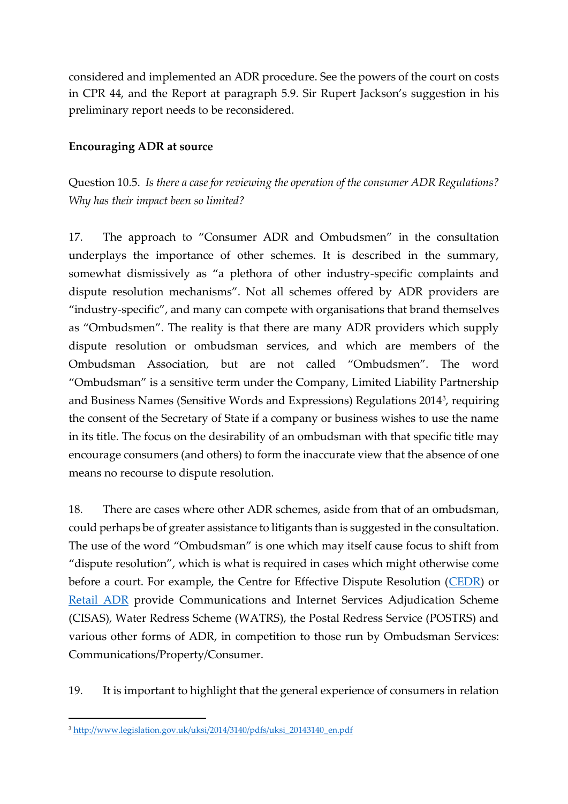considered and implemented an ADR procedure. See the powers of the court on costs in CPR 44, and the Report at paragraph 5.9. Sir Rupert Jackson's suggestion in his preliminary report needs to be reconsidered.

### **Encouraging ADR at source**

Question 10.5. *Is there a case for reviewing the operation of the consumer ADR Regulations? Why has their impact been so limited?* 

17. The approach to "Consumer ADR and Ombudsmen" in the consultation underplays the importance of other schemes. It is described in the summary, somewhat dismissively as "a plethora of other industry-specific complaints and dispute resolution mechanisms". Not all schemes offered by ADR providers are "industry-specific", and many can compete with organisations that brand themselves as "Ombudsmen". The reality is that there are many ADR providers which supply dispute resolution or ombudsman services, and which are members of the Ombudsman Association, but are not called "Ombudsmen". The word "Ombudsman" is a sensitive term under the Company, Limited Liability Partnership and Business Names (Sensitive Words and Expressions) Regulations 2014<sup>3</sup> , requiring the consent of the Secretary of State if a company or business wishes to use the name in its title. The focus on the desirability of an ombudsman with that specific title may encourage consumers (and others) to form the inaccurate view that the absence of one means no recourse to dispute resolution.

18. There are cases where other ADR schemes, aside from that of an ombudsman, could perhaps be of greater assistance to litigants than is suggested in the consultation. The use of the word "Ombudsman" is one which may itself cause focus to shift from "dispute resolution", which is what is required in cases which might otherwise come before a court. For example, the Centre for Effective Dispute Resolution [\(CEDR\)](https://www.cedr.com/) or [Retail ADR](https://www.retailadr.org.uk/) provide Communications and Internet Services Adjudication Scheme (CISAS), Water Redress Scheme (WATRS), the Postal Redress Service (POSTRS) and various other forms of ADR, in competition to those run by Ombudsman Services: Communications/Property/Consumer.

19. It is important to highlight that the general experience of consumers in relation

<sup>&</sup>lt;sup>3</sup> [http://www.legislation.gov.uk/uksi/2014/3140/pdfs/uksi\\_20143140\\_en.pdf](http://www.legislation.gov.uk/uksi/2014/3140/pdfs/uksi_20143140_en.pdf)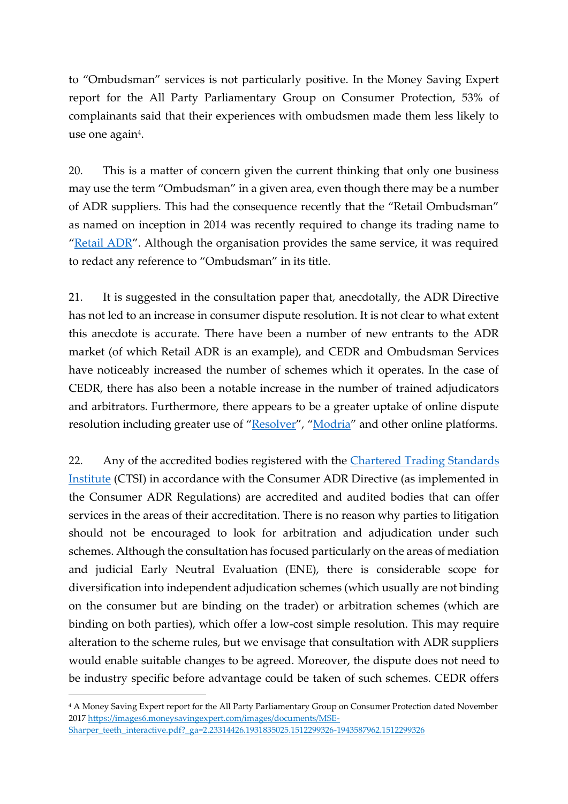to "Ombudsman" services is not particularly positive. In the Money Saving Expert report for the All Party Parliamentary Group on Consumer Protection, 53% of complainants said that their experiences with ombudsmen made them less likely to use one again<sup>4</sup>.

20. This is a matter of concern given the current thinking that only one business may use the term "Ombudsman" in a given area, even though there may be a number of ADR suppliers. This had the consequence recently that the "Retail Ombudsman" as named on inception in 2014 was recently required to change its trading name to "[Retail ADR](https://www.retailadr.org.uk/)". Although the organisation provides the same service, it was required to redact any reference to "Ombudsman" in its title.

21. It is suggested in the consultation paper that, anecdotally, the ADR Directive has not led to an increase in consumer dispute resolution. It is not clear to what extent this anecdote is accurate. There have been a number of new entrants to the ADR market (of which Retail ADR is an example), and CEDR and Ombudsman Services have noticeably increased the number of schemes which it operates. In the case of CEDR, there has also been a notable increase in the number of trained adjudicators and arbitrators. Furthermore, there appears to be a greater uptake of online dispute resolution including greater use of "[Resolver](https://www.resolver.co.uk/)", "[Modria](https://www.tylertech.com/solutions-products/modria)" and other online platforms.

22. Any of the accredited bodies registered with the Chartered Trading Standards [Institute](https://www.tradingstandards.uk/about-ctsi) (CTSI) in accordance with the Consumer ADR Directive (as implemented in the Consumer ADR Regulations) are accredited and audited bodies that can offer services in the areas of their accreditation. There is no reason why parties to litigation should not be encouraged to look for arbitration and adjudication under such schemes. Although the consultation has focused particularly on the areas of mediation and judicial Early Neutral Evaluation (ENE), there is considerable scope for diversification into independent adjudication schemes (which usually are not binding on the consumer but are binding on the trader) or arbitration schemes (which are binding on both parties), which offer a low-cost simple resolution. This may require alteration to the scheme rules, but we envisage that consultation with ADR suppliers would enable suitable changes to be agreed. Moreover, the dispute does not need to be industry specific before advantage could be taken of such schemes. CEDR offers

<sup>4</sup> A Money Saving Expert report for the All Party Parliamentary Group on Consumer Protection dated November 2017 [https://images6.moneysavingexpert.com/images/documents/MSE-](https://images6.moneysavingexpert.com/images/documents/MSE-Sharper_teeth_interactive.pdf?_ga=2.23314426.1931835025.1512299326-1943587962.1512299326)[Sharper\\_teeth\\_interactive.pdf?\\_ga=2.23314426.1931835025.1512299326-1943587962.1512299326](https://images6.moneysavingexpert.com/images/documents/MSE-Sharper_teeth_interactive.pdf?_ga=2.23314426.1931835025.1512299326-1943587962.1512299326)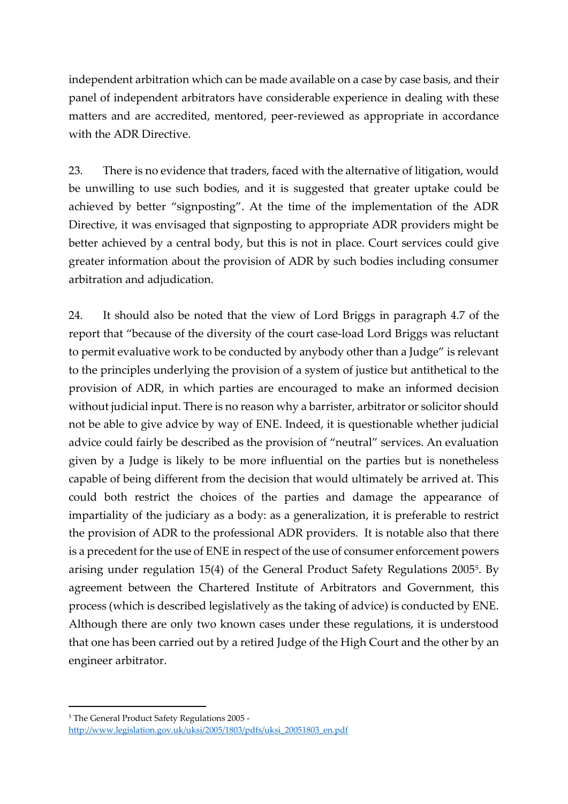independent arbitration which can be made available on a case by case basis, and their panel of independent arbitrators have considerable experience in dealing with these matters and are accredited, mentored, peer-reviewed as appropriate in accordance with the ADR Directive.

23. There is no evidence that traders, faced with the alternative of litigation, would be unwilling to use such bodies, and it is suggested that greater uptake could be achieved by better "signposting". At the time of the implementation of the ADR Directive, it was envisaged that signposting to appropriate ADR providers might be better achieved by a central body, but this is not in place. Court services could give greater information about the provision of ADR by such bodies including consumer arbitration and adjudication.

24. It should also be noted that the view of Lord Briggs in paragraph 4.7 of the report that "because of the diversity of the court case-load Lord Briggs was reluctant to permit evaluative work to be conducted by anybody other than a Judge" is relevant to the principles underlying the provision of a system of justice but antithetical to the provision of ADR, in which parties are encouraged to make an informed decision without judicial input. There is no reason why a barrister, arbitrator or solicitor should not be able to give advice by way of ENE. Indeed, it is questionable whether judicial advice could fairly be described as the provision of "neutral" services. An evaluation given by a Judge is likely to be more influential on the parties but is nonetheless capable of being different from the decision that would ultimately be arrived at. This could both restrict the choices of the parties and damage the appearance of impartiality of the judiciary as a body: as a generalization, it is preferable to restrict the provision of ADR to the professional ADR providers. It is notable also that there is a precedent for the use of ENE in respect of the use of consumer enforcement powers arising under regulation 15(4) of the General Product Safety Regulations 2005<sup>5</sup>. By agreement between the Chartered Institute of Arbitrators and Government, this process (which is described legislatively as the taking of advice) is conducted by ENE. Although there are only two known cases under these regulations, it is understood that one has been carried out by a retired Judge of the High Court and the other by an engineer arbitrator.

<sup>5</sup> The General Product Safety Regulations 2005 [http://www.legislation.gov.uk/uksi/2005/1803/pdfs/uksi\\_20051803\\_en.pdf](http://www.legislation.gov.uk/uksi/2005/1803/pdfs/uksi_20051803_en.pdf)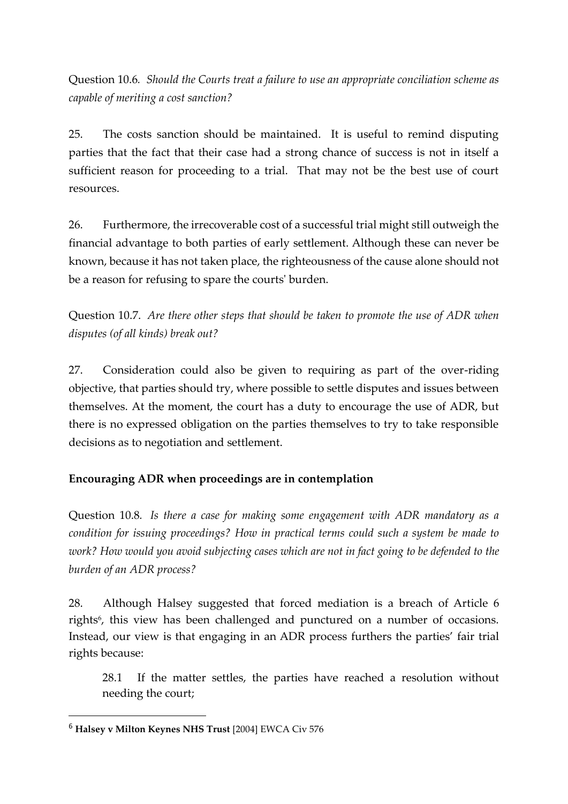Question 10.6*. Should the Courts treat a failure to use an appropriate conciliation scheme as capable of meriting a cost sanction?* 

25. The costs sanction should be maintained. It is useful to remind disputing parties that the fact that their case had a strong chance of success is not in itself a sufficient reason for proceeding to a trial. That may not be the best use of court resources.

26. Furthermore, the irrecoverable cost of a successful trial might still outweigh the financial advantage to both parties of early settlement. Although these can never be known, because it has not taken place, the righteousness of the cause alone should not be a reason for refusing to spare the courts' burden.

Question 10.7. *Are there other steps that should be taken to promote the use of ADR when disputes (of all kinds) break out?*

27. Consideration could also be given to requiring as part of the over-riding objective, that parties should try, where possible to settle disputes and issues between themselves. At the moment, the court has a duty to encourage the use of ADR, but there is no expressed obligation on the parties themselves to try to take responsible decisions as to negotiation and settlement.

## **Encouraging ADR when proceedings are in contemplation**

Question 10.8*. Is there a case for making some engagement with ADR mandatory as a condition for issuing proceedings? How in practical terms could such a system be made to work? How would you avoid subjecting cases which are not in fact going to be defended to the burden of an ADR process?* 

28. Although Halsey suggested that forced mediation is a breach of Article 6 rights<sup>6</sup>, this view has been challenged and punctured on a number of occasions. Instead, our view is that engaging in an ADR process furthers the parties' fair trial rights because:

28.1 If the matter settles, the parties have reached a resolution without needing the court;

<sup>6</sup> **Halsey v Milton Keynes NHS Trust** [2004] EWCA Civ 576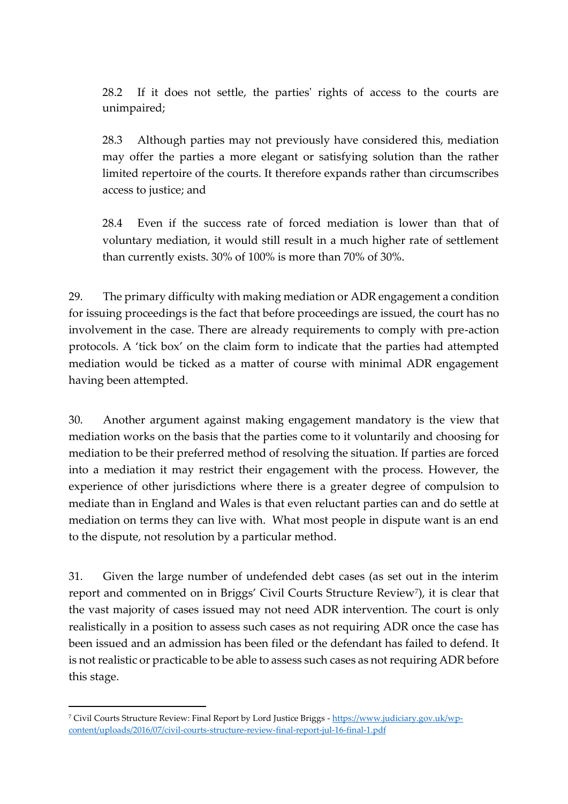28.2 If it does not settle, the parties' rights of access to the courts are unimpaired;

28.3 Although parties may not previously have considered this, mediation may offer the parties a more elegant or satisfying solution than the rather limited repertoire of the courts. It therefore expands rather than circumscribes access to justice; and

28.4 Even if the success rate of forced mediation is lower than that of voluntary mediation, it would still result in a much higher rate of settlement than currently exists. 30% of 100% is more than 70% of 30%.

29. The primary difficulty with making mediation or ADR engagement a condition for issuing proceedings is the fact that before proceedings are issued, the court has no involvement in the case. There are already requirements to comply with pre-action protocols. A 'tick box' on the claim form to indicate that the parties had attempted mediation would be ticked as a matter of course with minimal ADR engagement having been attempted.

30. Another argument against making engagement mandatory is the view that mediation works on the basis that the parties come to it voluntarily and choosing for mediation to be their preferred method of resolving the situation. If parties are forced into a mediation it may restrict their engagement with the process. However, the experience of other jurisdictions where there is a greater degree of compulsion to mediate than in England and Wales is that even reluctant parties can and do settle at mediation on terms they can live with. What most people in dispute want is an end to the dispute, not resolution by a particular method.

31. Given the large number of undefended debt cases (as set out in the interim report and commented on in Briggs' Civil Courts Structure Review<sup>7</sup>), it is clear that the vast majority of cases issued may not need ADR intervention. The court is only realistically in a position to assess such cases as not requiring ADR once the case has been issued and an admission has been filed or the defendant has failed to defend. It is not realistic or practicable to be able to assess such cases as not requiring ADR before this stage.

<sup>7</sup> Civil Courts Structure Review: Final Report by Lord Justice Briggs - [https://www.judiciary.gov.uk/wp](https://www.judiciary.gov.uk/wp-content/uploads/2016/07/civil-courts-structure-review-final-report-jul-16-final-1.pdf)[content/uploads/2016/07/civil-courts-structure-review-final-report-jul-16-final-1.pdf](https://www.judiciary.gov.uk/wp-content/uploads/2016/07/civil-courts-structure-review-final-report-jul-16-final-1.pdf)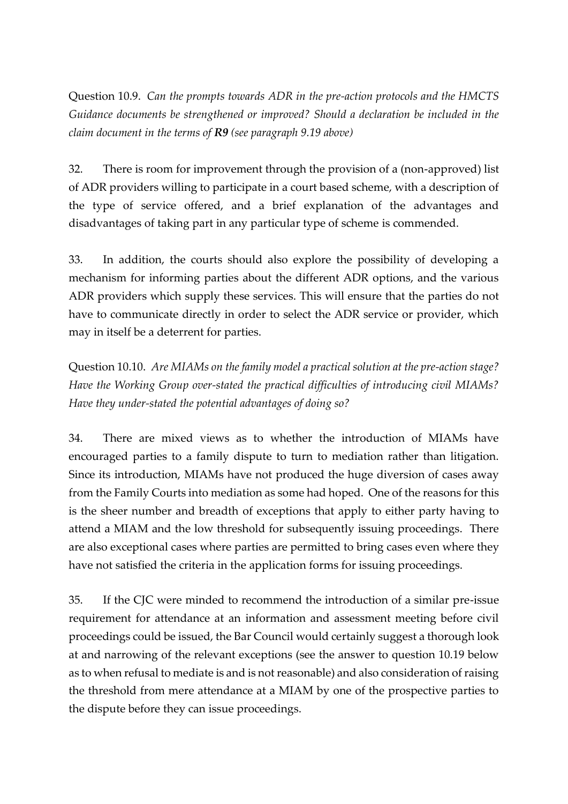Question 10.9. *Can the prompts towards ADR in the pre‐action protocols and the HMCTS Guidance documents be strengthened or improved? Should a declaration be included in the claim document in the terms of R9 (see paragraph 9.19 above)*

32. There is room for improvement through the provision of a (non-approved) list of ADR providers willing to participate in a court based scheme, with a description of the type of service offered, and a brief explanation of the advantages and disadvantages of taking part in any particular type of scheme is commended.

33. In addition, the courts should also explore the possibility of developing a mechanism for informing parties about the different ADR options, and the various ADR providers which supply these services. This will ensure that the parties do not have to communicate directly in order to select the ADR service or provider, which may in itself be a deterrent for parties.

Question 10.10. *Are MIAMs on the family model a practical solution at the pre‐action stage? Have the Working Group over‐stated the practical difficulties of introducing civil MIAMs? Have they under‐stated the potential advantages of doing so?*

34. There are mixed views as to whether the introduction of MIAMs have encouraged parties to a family dispute to turn to mediation rather than litigation. Since its introduction, MIAMs have not produced the huge diversion of cases away from the Family Courts into mediation as some had hoped. One of the reasons for this is the sheer number and breadth of exceptions that apply to either party having to attend a MIAM and the low threshold for subsequently issuing proceedings. There are also exceptional cases where parties are permitted to bring cases even where they have not satisfied the criteria in the application forms for issuing proceedings.

35. If the CJC were minded to recommend the introduction of a similar pre-issue requirement for attendance at an information and assessment meeting before civil proceedings could be issued, the Bar Council would certainly suggest a thorough look at and narrowing of the relevant exceptions (see the answer to question 10.19 below as to when refusal to mediate is and is not reasonable) and also consideration of raising the threshold from mere attendance at a MIAM by one of the prospective parties to the dispute before they can issue proceedings.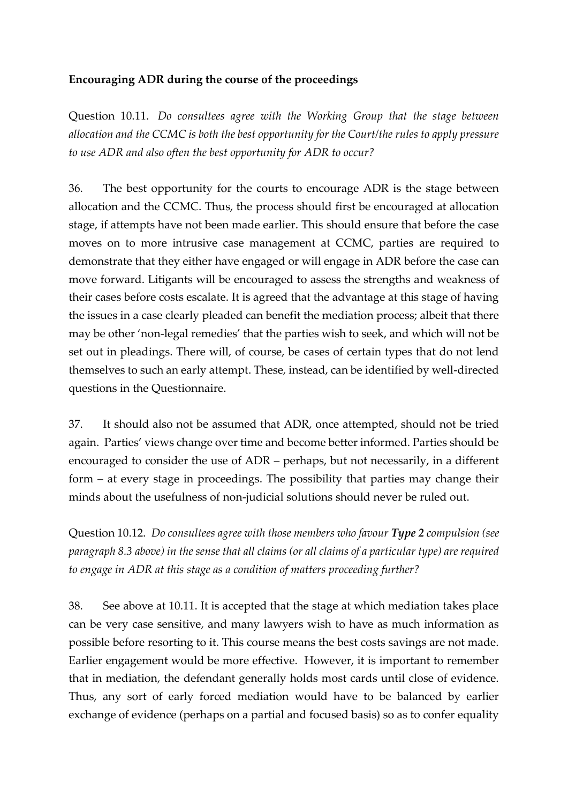### **Encouraging ADR during the course of the proceedings**

Question 10.11. *Do consultees agree with the Working Group that the stage between allocation and the CCMC is both the best opportunity for the Court/the rules to apply pressure to use ADR and also often the best opportunity for ADR to occur?*

36. The best opportunity for the courts to encourage ADR is the stage between allocation and the CCMC. Thus, the process should first be encouraged at allocation stage, if attempts have not been made earlier. This should ensure that before the case moves on to more intrusive case management at CCMC, parties are required to demonstrate that they either have engaged or will engage in ADR before the case can move forward. Litigants will be encouraged to assess the strengths and weakness of their cases before costs escalate. It is agreed that the advantage at this stage of having the issues in a case clearly pleaded can benefit the mediation process; albeit that there may be other 'non-legal remedies' that the parties wish to seek, and which will not be set out in pleadings. There will, of course, be cases of certain types that do not lend themselves to such an early attempt. These, instead, can be identified by well-directed questions in the Questionnaire.

37. It should also not be assumed that ADR, once attempted, should not be tried again. Parties' views change over time and become better informed. Parties should be encouraged to consider the use of ADR – perhaps, but not necessarily, in a different form – at every stage in proceedings. The possibility that parties may change their minds about the usefulness of non-judicial solutions should never be ruled out.

Question 10.12. *Do consultees agree with those members who favour Type 2 compulsion (see paragraph 8.3 above) in the sense that all claims (or all claims of a particular type) are required to engage in ADR at this stage as a condition of matters proceeding further?* 

38. See above at 10.11. It is accepted that the stage at which mediation takes place can be very case sensitive, and many lawyers wish to have as much information as possible before resorting to it. This course means the best costs savings are not made. Earlier engagement would be more effective. However, it is important to remember that in mediation, the defendant generally holds most cards until close of evidence. Thus, any sort of early forced mediation would have to be balanced by earlier exchange of evidence (perhaps on a partial and focused basis) so as to confer equality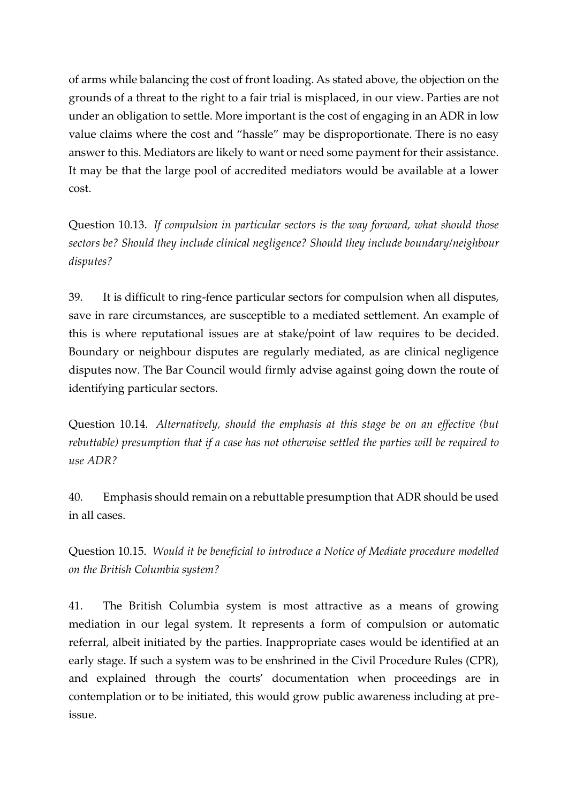of arms while balancing the cost of front loading. As stated above, the objection on the grounds of a threat to the right to a fair trial is misplaced, in our view. Parties are not under an obligation to settle. More important is the cost of engaging in an ADR in low value claims where the cost and "hassle" may be disproportionate. There is no easy answer to this. Mediators are likely to want or need some payment for their assistance. It may be that the large pool of accredited mediators would be available at a lower cost.

Question 10.13. *If compulsion in particular sectors is the way forward, what should those sectors be? Should they include clinical negligence? Should they include boundary/neighbour disputes?* 

39. It is difficult to ring-fence particular sectors for compulsion when all disputes, save in rare circumstances, are susceptible to a mediated settlement. An example of this is where reputational issues are at stake/point of law requires to be decided. Boundary or neighbour disputes are regularly mediated, as are clinical negligence disputes now. The Bar Council would firmly advise against going down the route of identifying particular sectors.

Question 10.14. *Alternatively, should the emphasis at this stage be on an effective (but rebuttable) presumption that if a case has not otherwise settled the parties will be required to use ADR?*

40. Emphasis should remain on a rebuttable presumption that ADR should be used in all cases.

Question 10.15. *Would it be beneficial to introduce a Notice of Mediate procedure modelled on the British Columbia system?* 

41. The British Columbia system is most attractive as a means of growing mediation in our legal system. It represents a form of compulsion or automatic referral, albeit initiated by the parties. Inappropriate cases would be identified at an early stage. If such a system was to be enshrined in the Civil Procedure Rules (CPR), and explained through the courts' documentation when proceedings are in contemplation or to be initiated, this would grow public awareness including at preissue.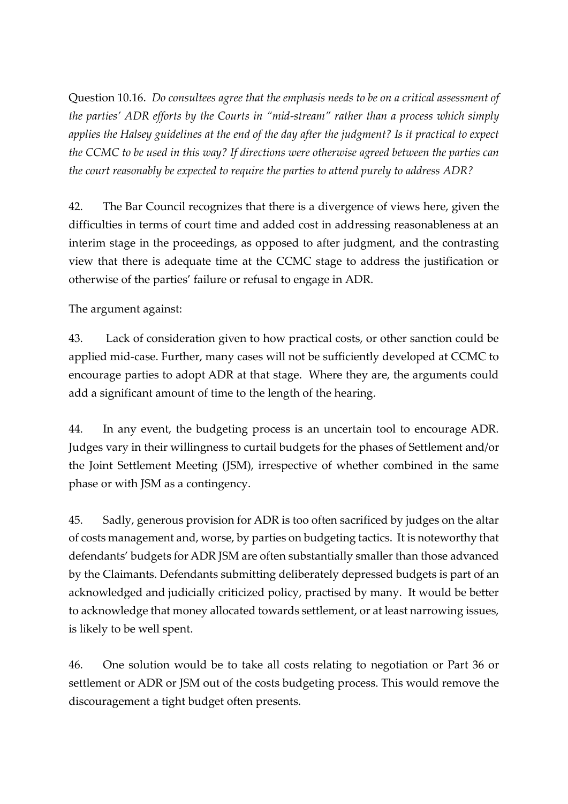Question 10.16. *Do consultees agree that the emphasis needs to be on a critical assessment of the parties' ADR efforts by the Courts in "mid‐stream" rather than a process which simply applies the Halsey guidelines at the end of the day after the judgment? Is it practical to expect the CCMC to be used in this way? If directions were otherwise agreed between the parties can the court reasonably be expected to require the parties to attend purely to address ADR?*

42. The Bar Council recognizes that there is a divergence of views here, given the difficulties in terms of court time and added cost in addressing reasonableness at an interim stage in the proceedings, as opposed to after judgment, and the contrasting view that there is adequate time at the CCMC stage to address the justification or otherwise of the parties' failure or refusal to engage in ADR.

The argument against:

43. Lack of consideration given to how practical costs, or other sanction could be applied mid-case. Further, many cases will not be sufficiently developed at CCMC to encourage parties to adopt ADR at that stage. Where they are, the arguments could add a significant amount of time to the length of the hearing.

44. In any event, the budgeting process is an uncertain tool to encourage ADR. Judges vary in their willingness to curtail budgets for the phases of Settlement and/or the Joint Settlement Meeting (JSM), irrespective of whether combined in the same phase or with JSM as a contingency.

45. Sadly, generous provision for ADR is too often sacrificed by judges on the altar of costs management and, worse, by parties on budgeting tactics. It is noteworthy that defendants' budgets for ADR JSM are often substantially smaller than those advanced by the Claimants. Defendants submitting deliberately depressed budgets is part of an acknowledged and judicially criticized policy, practised by many. It would be better to acknowledge that money allocated towards settlement, or at least narrowing issues, is likely to be well spent.

46. One solution would be to take all costs relating to negotiation or Part 36 or settlement or ADR or JSM out of the costs budgeting process. This would remove the discouragement a tight budget often presents.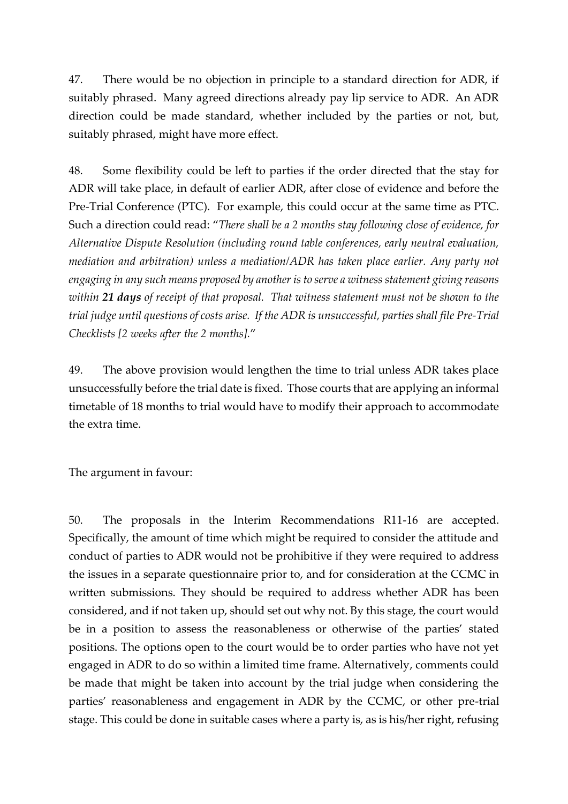47. There would be no objection in principle to a standard direction for ADR, if suitably phrased. Many agreed directions already pay lip service to ADR. An ADR direction could be made standard, whether included by the parties or not, but, suitably phrased, might have more effect.

48. Some flexibility could be left to parties if the order directed that the stay for ADR will take place, in default of earlier ADR, after close of evidence and before the Pre-Trial Conference (PTC). For example, this could occur at the same time as PTC. Such a direction could read: "*There shall be a 2 months stay following close of evidence, for Alternative Dispute Resolution (including round table conferences, early neutral evaluation, mediation and arbitration) unless a mediation/ADR has taken place earlier. Any party not engaging in any such means proposed by another is to serve a witness statement giving reasons within 21 days of receipt of that proposal. That witness statement must not be shown to the trial judge until questions of costs arise. If the ADR is unsuccessful, parties shall file Pre-Trial Checklists [2 weeks after the 2 months].*"

49. The above provision would lengthen the time to trial unless ADR takes place unsuccessfully before the trial date is fixed. Those courts that are applying an informal timetable of 18 months to trial would have to modify their approach to accommodate the extra time.

The argument in favour:

50. The proposals in the Interim Recommendations R11-16 are accepted. Specifically, the amount of time which might be required to consider the attitude and conduct of parties to ADR would not be prohibitive if they were required to address the issues in a separate questionnaire prior to, and for consideration at the CCMC in written submissions. They should be required to address whether ADR has been considered, and if not taken up, should set out why not. By this stage, the court would be in a position to assess the reasonableness or otherwise of the parties' stated positions. The options open to the court would be to order parties who have not yet engaged in ADR to do so within a limited time frame. Alternatively, comments could be made that might be taken into account by the trial judge when considering the parties' reasonableness and engagement in ADR by the CCMC, or other pre-trial stage. This could be done in suitable cases where a party is, as is his/her right, refusing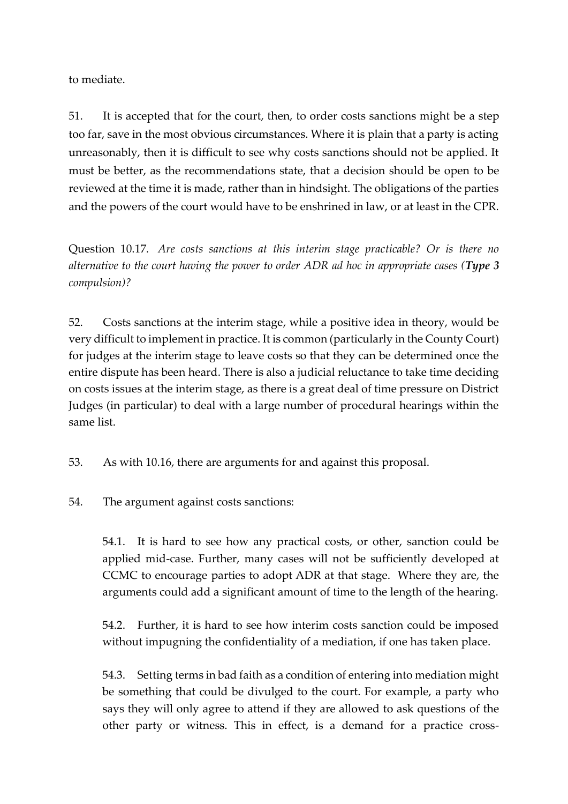to mediate.

51. It is accepted that for the court, then, to order costs sanctions might be a step too far, save in the most obvious circumstances. Where it is plain that a party is acting unreasonably, then it is difficult to see why costs sanctions should not be applied. It must be better, as the recommendations state, that a decision should be open to be reviewed at the time it is made, rather than in hindsight. The obligations of the parties and the powers of the court would have to be enshrined in law, or at least in the CPR.

Question 10.17*. Are costs sanctions at this interim stage practicable? Or is there no alternative to the court having the power to order ADR ad hoc in appropriate cases (Type 3 compulsion)?* 

52. Costs sanctions at the interim stage, while a positive idea in theory, would be very difficult to implement in practice. It is common (particularly in the County Court) for judges at the interim stage to leave costs so that they can be determined once the entire dispute has been heard. There is also a judicial reluctance to take time deciding on costs issues at the interim stage, as there is a great deal of time pressure on District Judges (in particular) to deal with a large number of procedural hearings within the same list.

53. As with 10.16, there are arguments for and against this proposal.

54. The argument against costs sanctions:

54.1. It is hard to see how any practical costs, or other, sanction could be applied mid-case. Further, many cases will not be sufficiently developed at CCMC to encourage parties to adopt ADR at that stage. Where they are, the arguments could add a significant amount of time to the length of the hearing.

54.2. Further, it is hard to see how interim costs sanction could be imposed without impugning the confidentiality of a mediation, if one has taken place.

54.3. Setting terms in bad faith as a condition of entering into mediation might be something that could be divulged to the court. For example, a party who says they will only agree to attend if they are allowed to ask questions of the other party or witness. This in effect, is a demand for a practice cross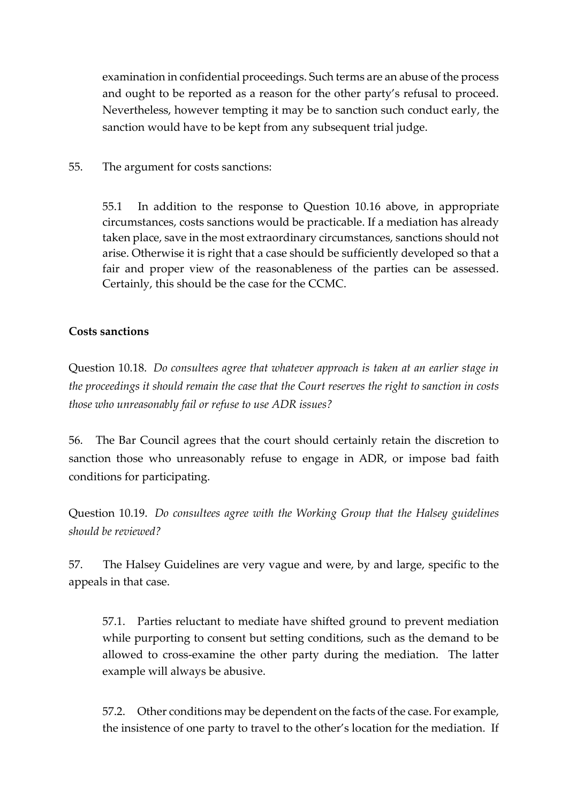examination in confidential proceedings. Such terms are an abuse of the process and ought to be reported as a reason for the other party's refusal to proceed. Nevertheless, however tempting it may be to sanction such conduct early, the sanction would have to be kept from any subsequent trial judge.

#### 55. The argument for costs sanctions:

55.1 In addition to the response to Question 10.16 above, in appropriate circumstances, costs sanctions would be practicable. If a mediation has already taken place, save in the most extraordinary circumstances, sanctions should not arise. Otherwise it is right that a case should be sufficiently developed so that a fair and proper view of the reasonableness of the parties can be assessed. Certainly, this should be the case for the CCMC.

#### **Costs sanctions**

Question 10.18. *Do consultees agree that whatever approach is taken at an earlier stage in the proceedings it should remain the case that the Court reserves the right to sanction in costs those who unreasonably fail or refuse to use ADR issues?*

56. The Bar Council agrees that the court should certainly retain the discretion to sanction those who unreasonably refuse to engage in ADR, or impose bad faith conditions for participating.

Question 10.19. *Do consultees agree with the Working Group that the Halsey guidelines should be reviewed?* 

57. The Halsey Guidelines are very vague and were, by and large, specific to the appeals in that case.

57.1. Parties reluctant to mediate have shifted ground to prevent mediation while purporting to consent but setting conditions, such as the demand to be allowed to cross-examine the other party during the mediation. The latter example will always be abusive.

57.2. Other conditions may be dependent on the facts of the case. For example, the insistence of one party to travel to the other's location for the mediation. If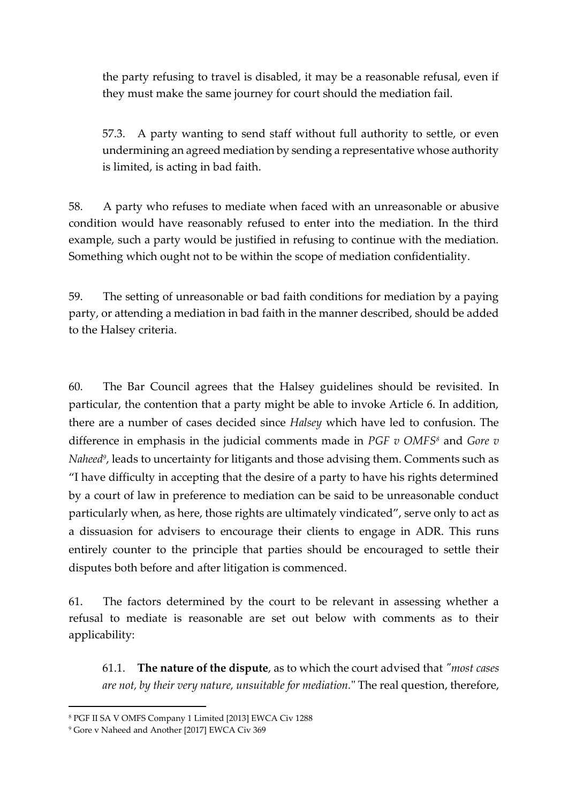the party refusing to travel is disabled, it may be a reasonable refusal, even if they must make the same journey for court should the mediation fail.

57.3. A party wanting to send staff without full authority to settle, or even undermining an agreed mediation by sending a representative whose authority is limited, is acting in bad faith.

58. A party who refuses to mediate when faced with an unreasonable or abusive condition would have reasonably refused to enter into the mediation. In the third example, such a party would be justified in refusing to continue with the mediation. Something which ought not to be within the scope of mediation confidentiality.

59. The setting of unreasonable or bad faith conditions for mediation by a paying party, or attending a mediation in bad faith in the manner described, should be added to the Halsey criteria.

60. The Bar Council agrees that the Halsey guidelines should be revisited. In particular, the contention that a party might be able to invoke Article 6. In addition, there are a number of cases decided since *Halsey* which have led to confusion. The difference in emphasis in the judicial comments made in *PGF v OMFS<sup>8</sup>* and *Gore v Naheed<sup>9</sup>* , leads to uncertainty for litigants and those advising them. Comments such as "I have difficulty in accepting that the desire of a party to have his rights determined by a court of law in preference to mediation can be said to be unreasonable conduct particularly when, as here, those rights are ultimately vindicated", serve only to act as a dissuasion for advisers to encourage their clients to engage in ADR. This runs entirely counter to the principle that parties should be encouraged to settle their disputes both before and after litigation is commenced.

61. The factors determined by the court to be relevant in assessing whether a refusal to mediate is reasonable are set out below with comments as to their applicability:

61.1. **The nature of the dispute**, as to which the court advised that *"most cases are not, by their very nature, unsuitable for mediation.*" The real question, therefore,

<sup>8</sup> PGF II SA V OMFS Company 1 Limited [2013] EWCA Civ 1288

<sup>9</sup> Gore v Naheed and Another [2017] EWCA Civ 369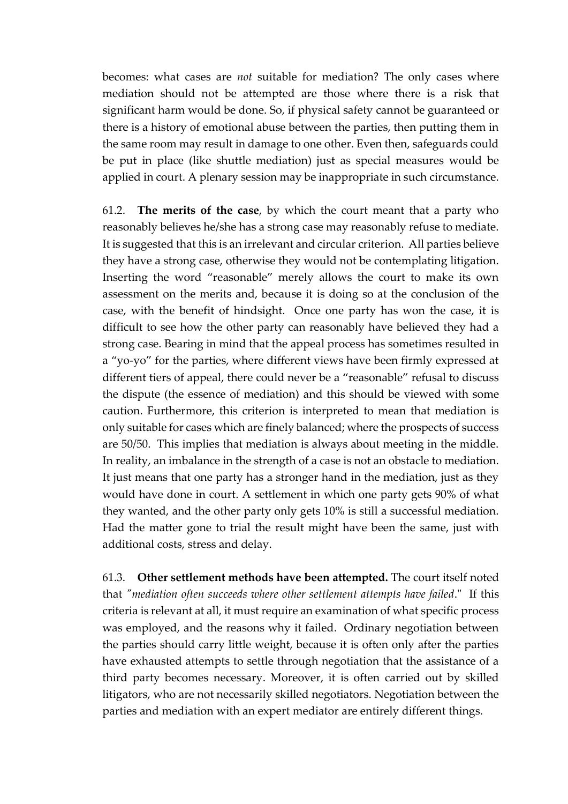becomes: what cases are *not* suitable for mediation? The only cases where mediation should not be attempted are those where there is a risk that significant harm would be done. So, if physical safety cannot be guaranteed or there is a history of emotional abuse between the parties, then putting them in the same room may result in damage to one other. Even then, safeguards could be put in place (like shuttle mediation) just as special measures would be applied in court. A plenary session may be inappropriate in such circumstance.

61.2. **The merits of the case**, by which the court meant that a party who reasonably believes he/she has a strong case may reasonably refuse to mediate. It is suggested that this is an irrelevant and circular criterion. All parties believe they have a strong case, otherwise they would not be contemplating litigation. Inserting the word "reasonable" merely allows the court to make its own assessment on the merits and, because it is doing so at the conclusion of the case, with the benefit of hindsight. Once one party has won the case, it is difficult to see how the other party can reasonably have believed they had a strong case. Bearing in mind that the appeal process has sometimes resulted in a "yo-yo" for the parties, where different views have been firmly expressed at different tiers of appeal, there could never be a "reasonable" refusal to discuss the dispute (the essence of mediation) and this should be viewed with some caution. Furthermore, this criterion is interpreted to mean that mediation is only suitable for cases which are finely balanced; where the prospects of success are 50/50. This implies that mediation is always about meeting in the middle. In reality, an imbalance in the strength of a case is not an obstacle to mediation. It just means that one party has a stronger hand in the mediation, just as they would have done in court. A settlement in which one party gets 90% of what they wanted, and the other party only gets 10% is still a successful mediation. Had the matter gone to trial the result might have been the same, just with additional costs, stress and delay.

61.3. **Other settlement methods have been attempted.** The court itself noted that *"mediation often succeeds where other settlement attempts have failed*." If this criteria is relevant at all, it must require an examination of what specific process was employed, and the reasons why it failed. Ordinary negotiation between the parties should carry little weight, because it is often only after the parties have exhausted attempts to settle through negotiation that the assistance of a third party becomes necessary. Moreover, it is often carried out by skilled litigators, who are not necessarily skilled negotiators. Negotiation between the parties and mediation with an expert mediator are entirely different things.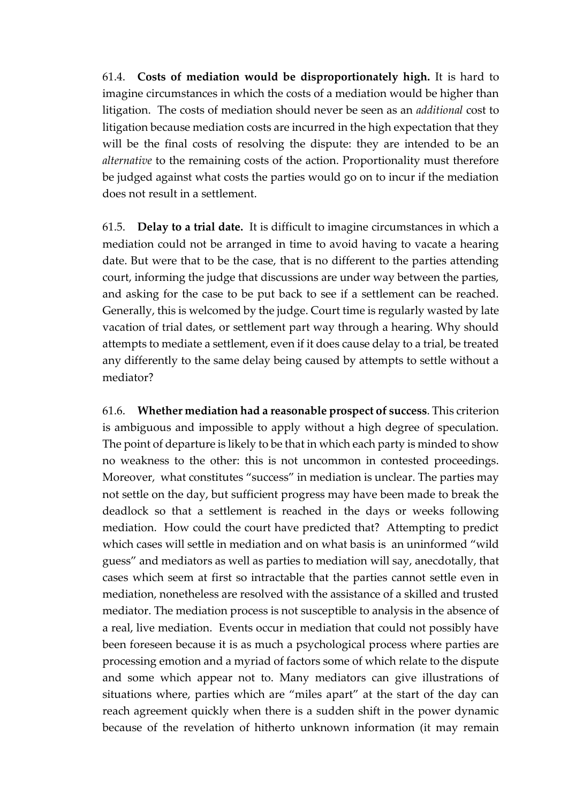61.4. **Costs of mediation would be disproportionately high.** It is hard to imagine circumstances in which the costs of a mediation would be higher than litigation. The costs of mediation should never be seen as an *additional* cost to litigation because mediation costs are incurred in the high expectation that they will be the final costs of resolving the dispute: they are intended to be an *alternative* to the remaining costs of the action. Proportionality must therefore be judged against what costs the parties would go on to incur if the mediation does not result in a settlement.

61.5. **Delay to a trial date.** It is difficult to imagine circumstances in which a mediation could not be arranged in time to avoid having to vacate a hearing date. But were that to be the case, that is no different to the parties attending court, informing the judge that discussions are under way between the parties, and asking for the case to be put back to see if a settlement can be reached. Generally, this is welcomed by the judge. Court time is regularly wasted by late vacation of trial dates, or settlement part way through a hearing. Why should attempts to mediate a settlement, even if it does cause delay to a trial, be treated any differently to the same delay being caused by attempts to settle without a mediator?

61.6. **Whether mediation had a reasonable prospect of success**. This criterion is ambiguous and impossible to apply without a high degree of speculation. The point of departure is likely to be that in which each party is minded to show no weakness to the other: this is not uncommon in contested proceedings. Moreover, what constitutes "success" in mediation is unclear. The parties may not settle on the day, but sufficient progress may have been made to break the deadlock so that a settlement is reached in the days or weeks following mediation. How could the court have predicted that? Attempting to predict which cases will settle in mediation and on what basis is an uninformed "wild guess" and mediators as well as parties to mediation will say, anecdotally, that cases which seem at first so intractable that the parties cannot settle even in mediation, nonetheless are resolved with the assistance of a skilled and trusted mediator. The mediation process is not susceptible to analysis in the absence of a real, live mediation. Events occur in mediation that could not possibly have been foreseen because it is as much a psychological process where parties are processing emotion and a myriad of factors some of which relate to the dispute and some which appear not to. Many mediators can give illustrations of situations where, parties which are "miles apart" at the start of the day can reach agreement quickly when there is a sudden shift in the power dynamic because of the revelation of hitherto unknown information (it may remain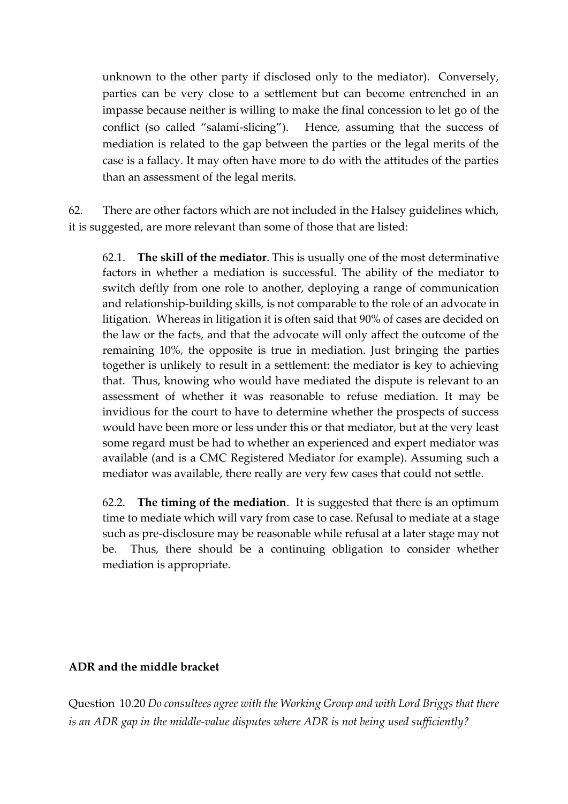unknown to the other party if disclosed only to the mediator). Conversely, parties can be very close to a settlement but can become entrenched in an impasse because neither is willing to make the final concession to let go of the conflict (so called "salami-slicing"). Hence, assuming that the success of mediation is related to the gap between the parties or the legal merits of the case is a fallacy. It may often have more to do with the attitudes of the parties than an assessment of the legal merits.

62. There are other factors which are not included in the Halsey guidelines which, it is suggested, are more relevant than some of those that are listed:

62.1. **The skill of the mediator**. This is usually one of the most determinative factors in whether a mediation is successful. The ability of the mediator to switch deftly from one role to another, deploying a range of communication and relationship-building skills, is not comparable to the role of an advocate in litigation. Whereas in litigation it is often said that 90% of cases are decided on the law or the facts, and that the advocate will only affect the outcome of the remaining 10%, the opposite is true in mediation. Just bringing the parties together is unlikely to result in a settlement: the mediator is key to achieving that. Thus, knowing who would have mediated the dispute is relevant to an assessment of whether it was reasonable to refuse mediation. It may be invidious for the court to have to determine whether the prospects of success would have been more or less under this or that mediator, but at the very least some regard must be had to whether an experienced and expert mediator was available (and is a CMC Registered Mediator for example). Assuming such a mediator was available, there really are very few cases that could not settle.

62.2. **The timing of the mediation**. It is suggested that there is an optimum time to mediate which will vary from case to case. Refusal to mediate at a stage such as pre-disclosure may be reasonable while refusal at a later stage may not be. Thus, there should be a continuing obligation to consider whether mediation is appropriate.

### **ADR and the middle bracket**

Question 10.20 *Do consultees agree with the Working Group and with Lord Briggs that there is an ADR gap in the middle-value disputes where ADR is not being used sufficiently?*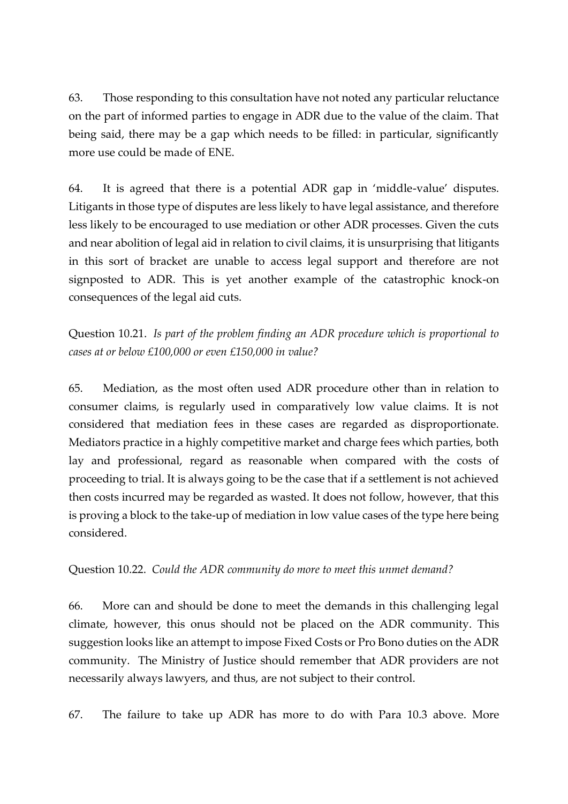63. Those responding to this consultation have not noted any particular reluctance on the part of informed parties to engage in ADR due to the value of the claim. That being said, there may be a gap which needs to be filled: in particular, significantly more use could be made of ENE.

64. It is agreed that there is a potential ADR gap in 'middle-value' disputes. Litigants in those type of disputes are less likely to have legal assistance, and therefore less likely to be encouraged to use mediation or other ADR processes. Given the cuts and near abolition of legal aid in relation to civil claims, it is unsurprising that litigants in this sort of bracket are unable to access legal support and therefore are not signposted to ADR. This is yet another example of the catastrophic knock-on consequences of the legal aid cuts.

Question 10.21. *Is part of the problem finding an ADR procedure which is proportional to cases at or below £100,000 or even £150,000 in value?*

65. Mediation, as the most often used ADR procedure other than in relation to consumer claims, is regularly used in comparatively low value claims. It is not considered that mediation fees in these cases are regarded as disproportionate. Mediators practice in a highly competitive market and charge fees which parties, both lay and professional, regard as reasonable when compared with the costs of proceeding to trial. It is always going to be the case that if a settlement is not achieved then costs incurred may be regarded as wasted. It does not follow, however, that this is proving a block to the take-up of mediation in low value cases of the type here being considered.

Question 10.22. *Could the ADR community do more to meet this unmet demand?*

66. More can and should be done to meet the demands in this challenging legal climate, however, this onus should not be placed on the ADR community. This suggestion looks like an attempt to impose Fixed Costs or Pro Bono duties on the ADR community. The Ministry of Justice should remember that ADR providers are not necessarily always lawyers, and thus, are not subject to their control.

67. The failure to take up ADR has more to do with Para 10.3 above. More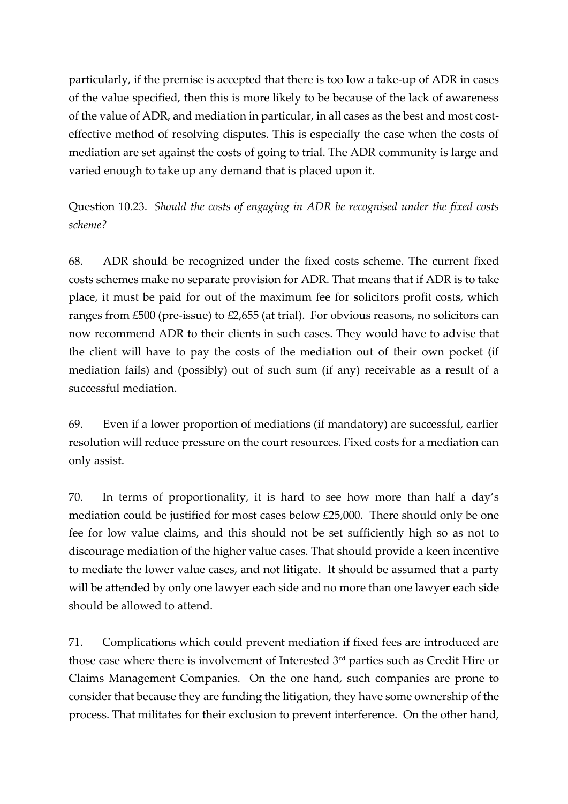particularly, if the premise is accepted that there is too low a take-up of ADR in cases of the value specified, then this is more likely to be because of the lack of awareness of the value of ADR, and mediation in particular, in all cases as the best and most costeffective method of resolving disputes. This is especially the case when the costs of mediation are set against the costs of going to trial. The ADR community is large and varied enough to take up any demand that is placed upon it.

Question 10.23. *Should the costs of engaging in ADR be recognised under the fixed costs scheme?*

68. ADR should be recognized under the fixed costs scheme. The current fixed costs schemes make no separate provision for ADR. That means that if ADR is to take place, it must be paid for out of the maximum fee for solicitors profit costs, which ranges from £500 (pre-issue) to £2,655 (at trial). For obvious reasons, no solicitors can now recommend ADR to their clients in such cases. They would have to advise that the client will have to pay the costs of the mediation out of their own pocket (if mediation fails) and (possibly) out of such sum (if any) receivable as a result of a successful mediation.

69. Even if a lower proportion of mediations (if mandatory) are successful, earlier resolution will reduce pressure on the court resources. Fixed costs for a mediation can only assist.

70. In terms of proportionality, it is hard to see how more than half a day's mediation could be justified for most cases below £25,000. There should only be one fee for low value claims, and this should not be set sufficiently high so as not to discourage mediation of the higher value cases. That should provide a keen incentive to mediate the lower value cases, and not litigate. It should be assumed that a party will be attended by only one lawyer each side and no more than one lawyer each side should be allowed to attend.

71. Complications which could prevent mediation if fixed fees are introduced are those case where there is involvement of Interested  $3<sup>rd</sup>$  parties such as Credit Hire or Claims Management Companies. On the one hand, such companies are prone to consider that because they are funding the litigation, they have some ownership of the process. That militates for their exclusion to prevent interference. On the other hand,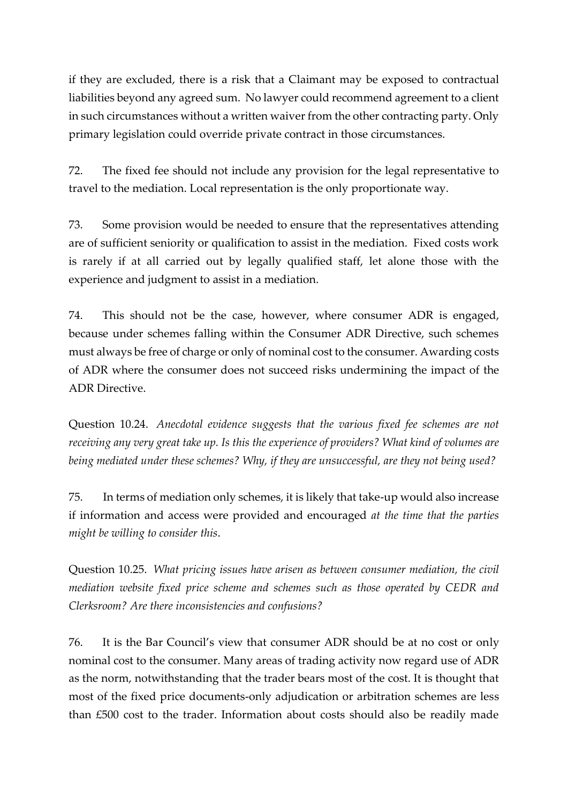if they are excluded, there is a risk that a Claimant may be exposed to contractual liabilities beyond any agreed sum. No lawyer could recommend agreement to a client in such circumstances without a written waiver from the other contracting party. Only primary legislation could override private contract in those circumstances.

72. The fixed fee should not include any provision for the legal representative to travel to the mediation. Local representation is the only proportionate way.

73. Some provision would be needed to ensure that the representatives attending are of sufficient seniority or qualification to assist in the mediation. Fixed costs work is rarely if at all carried out by legally qualified staff, let alone those with the experience and judgment to assist in a mediation.

74. This should not be the case, however, where consumer ADR is engaged, because under schemes falling within the Consumer ADR Directive, such schemes must always be free of charge or only of nominal cost to the consumer. Awarding costs of ADR where the consumer does not succeed risks undermining the impact of the ADR Directive.

Question 10.24. *Anecdotal evidence suggests that the various fixed fee schemes are not receiving any very great take up. Is this the experience of providers? What kind of volumes are being mediated under these schemes? Why, if they are unsuccessful, are they not being used?* 

75. In terms of mediation only schemes, it is likely that take-up would also increase if information and access were provided and encouraged *at the time that the parties might be willing to consider this*.

Question 10.25. *What pricing issues have arisen as between consumer mediation, the civil mediation website fixed price scheme and schemes such as those operated by CEDR and Clerksroom? Are there inconsistencies and confusions?*

76. It is the Bar Council's view that consumer ADR should be at no cost or only nominal cost to the consumer. Many areas of trading activity now regard use of ADR as the norm, notwithstanding that the trader bears most of the cost. It is thought that most of the fixed price documents-only adjudication or arbitration schemes are less than £500 cost to the trader. Information about costs should also be readily made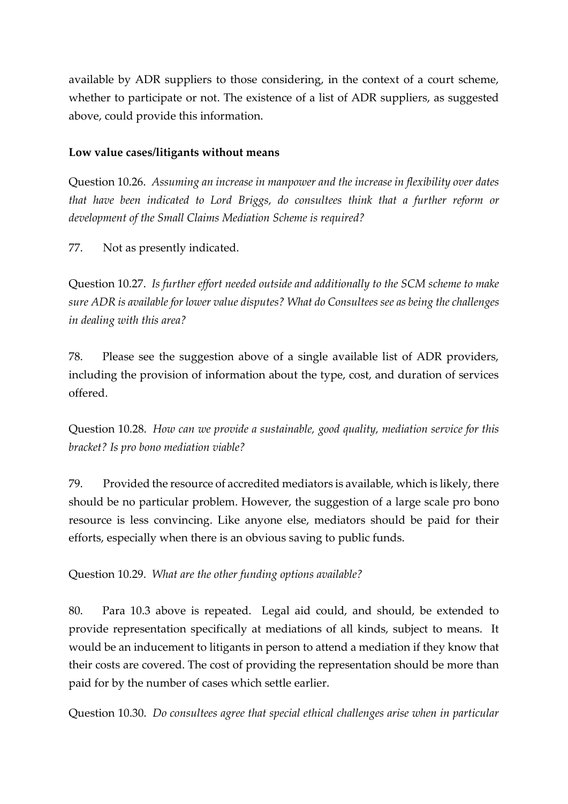available by ADR suppliers to those considering, in the context of a court scheme, whether to participate or not. The existence of a list of ADR suppliers, as suggested above, could provide this information.

### **Low value cases/litigants without means**

Question 10.26. *Assuming an increase in manpower and the increase in flexibility over dates that have been indicated to Lord Briggs, do consultees think that a further reform or development of the Small Claims Mediation Scheme is required?*

77. Not as presently indicated.

Question 10.27. *Is further effort needed outside and additionally to the SCM scheme to make sure ADR is available for lower value disputes? What do Consultees see as being the challenges in dealing with this area?*

78. Please see the suggestion above of a single available list of ADR providers, including the provision of information about the type, cost, and duration of services offered.

Question 10.28. *How can we provide a sustainable, good quality, mediation service for this bracket? Is pro bono mediation viable?*

79. Provided the resource of accredited mediators is available, which is likely, there should be no particular problem. However, the suggestion of a large scale pro bono resource is less convincing. Like anyone else, mediators should be paid for their efforts, especially when there is an obvious saving to public funds.

Question 10.29. *What are the other funding options available?*

80. Para 10.3 above is repeated. Legal aid could, and should, be extended to provide representation specifically at mediations of all kinds, subject to means. It would be an inducement to litigants in person to attend a mediation if they know that their costs are covered. The cost of providing the representation should be more than paid for by the number of cases which settle earlier.

Question 10.30. *Do consultees agree that special ethical challenges arise when in particular*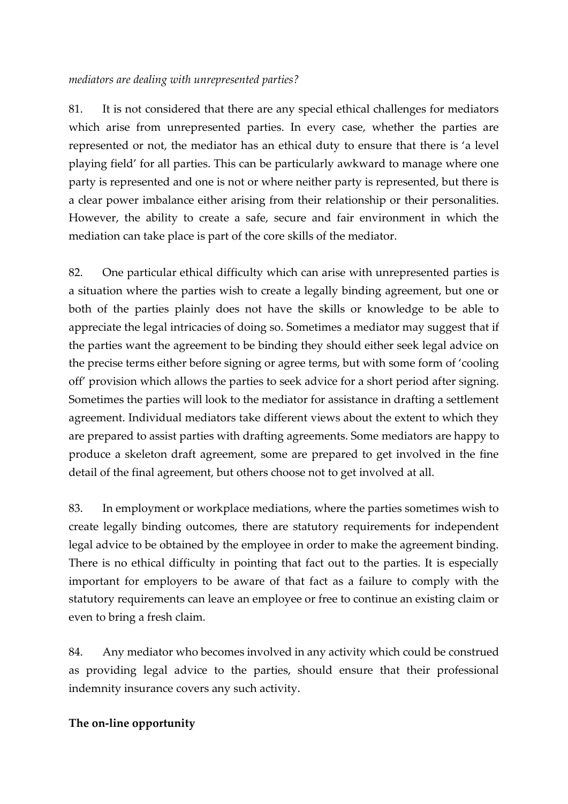#### *mediators are dealing with unrepresented parties?*

81. It is not considered that there are any special ethical challenges for mediators which arise from unrepresented parties. In every case, whether the parties are represented or not, the mediator has an ethical duty to ensure that there is 'a level playing field' for all parties. This can be particularly awkward to manage where one party is represented and one is not or where neither party is represented, but there is a clear power imbalance either arising from their relationship or their personalities. However, the ability to create a safe, secure and fair environment in which the mediation can take place is part of the core skills of the mediator.

82. One particular ethical difficulty which can arise with unrepresented parties is a situation where the parties wish to create a legally binding agreement, but one or both of the parties plainly does not have the skills or knowledge to be able to appreciate the legal intricacies of doing so. Sometimes a mediator may suggest that if the parties want the agreement to be binding they should either seek legal advice on the precise terms either before signing or agree terms, but with some form of 'cooling off' provision which allows the parties to seek advice for a short period after signing. Sometimes the parties will look to the mediator for assistance in drafting a settlement agreement. Individual mediators take different views about the extent to which they are prepared to assist parties with drafting agreements. Some mediators are happy to produce a skeleton draft agreement, some are prepared to get involved in the fine detail of the final agreement, but others choose not to get involved at all.

83. In employment or workplace mediations, where the parties sometimes wish to create legally binding outcomes, there are statutory requirements for independent legal advice to be obtained by the employee in order to make the agreement binding. There is no ethical difficulty in pointing that fact out to the parties. It is especially important for employers to be aware of that fact as a failure to comply with the statutory requirements can leave an employee or free to continue an existing claim or even to bring a fresh claim.

84. Any mediator who becomes involved in any activity which could be construed as providing legal advice to the parties, should ensure that their professional indemnity insurance covers any such activity.

### **The on‐line opportunity**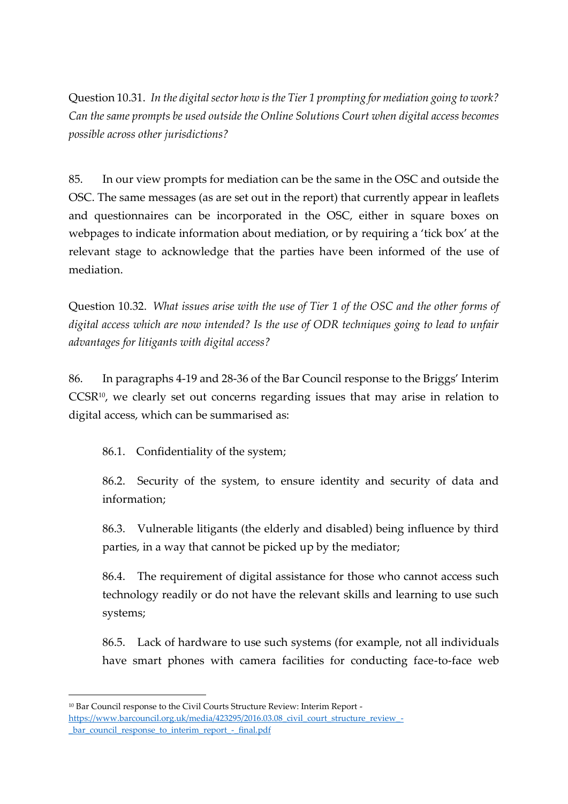Question 10.31. *In the digital sector how is the Tier 1 prompting for mediation going to work? Can the same prompts be used outside the Online Solutions Court when digital access becomes possible across other jurisdictions?*

85. In our view prompts for mediation can be the same in the OSC and outside the OSC. The same messages (as are set out in the report) that currently appear in leaflets and questionnaires can be incorporated in the OSC, either in square boxes on webpages to indicate information about mediation, or by requiring a 'tick box' at the relevant stage to acknowledge that the parties have been informed of the use of mediation.

Question 10.32. *What issues arise with the use of Tier 1 of the OSC and the other forms of digital access which are now intended? Is the use of ODR techniques going to lead to unfair advantages for litigants with digital access?*

86. In paragraphs 4-19 and 28-36 of the Bar Council response to the Briggs' Interim CCSR<sup>10</sup>, we clearly set out concerns regarding issues that may arise in relation to digital access, which can be summarised as:

86.1. Confidentiality of the system;

86.2. Security of the system, to ensure identity and security of data and information;

86.3. Vulnerable litigants (the elderly and disabled) being influence by third parties, in a way that cannot be picked up by the mediator;

86.4. The requirement of digital assistance for those who cannot access such technology readily or do not have the relevant skills and learning to use such systems;

86.5. Lack of hardware to use such systems (for example, not all individuals have smart phones with camera facilities for conducting face-to-face web

<sup>10</sup> Bar Council response to the Civil Courts Structure Review: Interim Report [https://www.barcouncil.org.uk/media/423295/2016.03.08\\_civil\\_court\\_structure\\_review\\_-](https://www.barcouncil.org.uk/media/423295/2016.03.08_civil_court_structure_review_-_bar_council_response_to_interim_report_-_final.pdf) [\\_bar\\_council\\_response\\_to\\_interim\\_report\\_-\\_final.pdf](https://www.barcouncil.org.uk/media/423295/2016.03.08_civil_court_structure_review_-_bar_council_response_to_interim_report_-_final.pdf)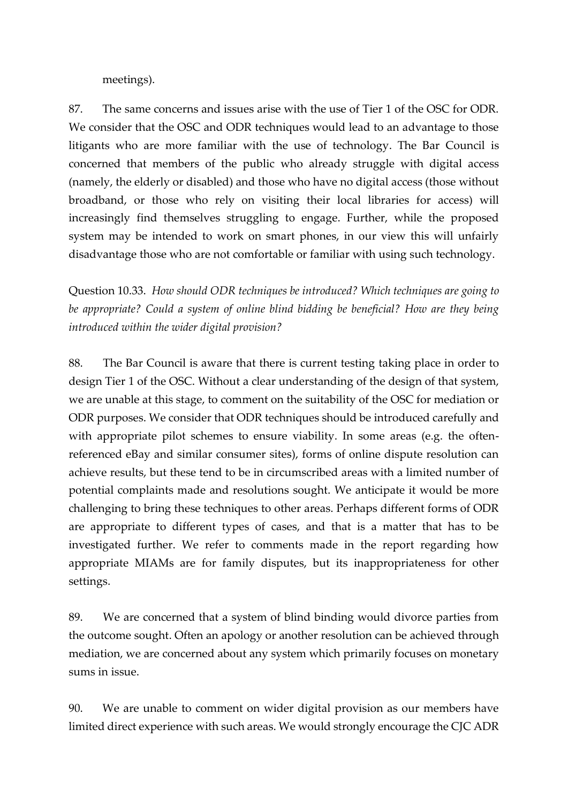meetings).

87. The same concerns and issues arise with the use of Tier 1 of the OSC for ODR. We consider that the OSC and ODR techniques would lead to an advantage to those litigants who are more familiar with the use of technology. The Bar Council is concerned that members of the public who already struggle with digital access (namely, the elderly or disabled) and those who have no digital access (those without broadband, or those who rely on visiting their local libraries for access) will increasingly find themselves struggling to engage. Further, while the proposed system may be intended to work on smart phones, in our view this will unfairly disadvantage those who are not comfortable or familiar with using such technology.

Question 10.33. *How should ODR techniques be introduced? Which techniques are going to be appropriate? Could a system of online blind bidding be beneficial? How are they being introduced within the wider digital provision?* 

88. The Bar Council is aware that there is current testing taking place in order to design Tier 1 of the OSC. Without a clear understanding of the design of that system, we are unable at this stage, to comment on the suitability of the OSC for mediation or ODR purposes. We consider that ODR techniques should be introduced carefully and with appropriate pilot schemes to ensure viability. In some areas (e.g. the oftenreferenced eBay and similar consumer sites), forms of online dispute resolution can achieve results, but these tend to be in circumscribed areas with a limited number of potential complaints made and resolutions sought. We anticipate it would be more challenging to bring these techniques to other areas. Perhaps different forms of ODR are appropriate to different types of cases, and that is a matter that has to be investigated further. We refer to comments made in the report regarding how appropriate MIAMs are for family disputes, but its inappropriateness for other settings.

89. We are concerned that a system of blind binding would divorce parties from the outcome sought. Often an apology or another resolution can be achieved through mediation, we are concerned about any system which primarily focuses on monetary sums in issue.

90. We are unable to comment on wider digital provision as our members have limited direct experience with such areas. We would strongly encourage the CJC ADR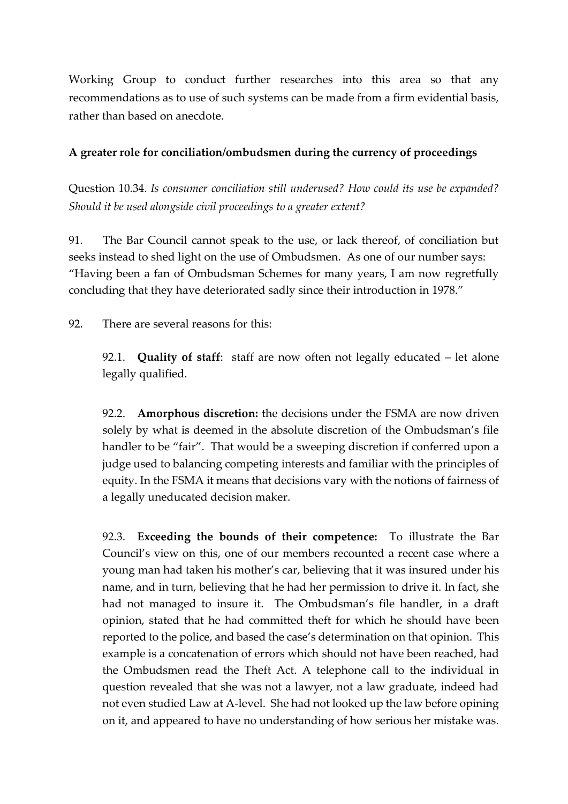Working Group to conduct further researches into this area so that any recommendations as to use of such systems can be made from a firm evidential basis, rather than based on anecdote.

### **A greater role for conciliation/ombudsmen during the currency of proceedings**

Question 10.34. *Is consumer conciliation still underused? How could its use be expanded? Should it be used alongside civil proceedings to a greater extent?*

91. The Bar Council cannot speak to the use, or lack thereof, of conciliation but seeks instead to shed light on the use of Ombudsmen. As one of our number says: "Having been a fan of Ombudsman Schemes for many years, I am now regretfully concluding that they have deteriorated sadly since their introduction in 1978."

92. There are several reasons for this:

92.1. **Quality of staff**: staff are now often not legally educated – let alone legally qualified.

92.2. **Amorphous discretion:** the decisions under the FSMA are now driven solely by what is deemed in the absolute discretion of the Ombudsman's file handler to be "fair". That would be a sweeping discretion if conferred upon a judge used to balancing competing interests and familiar with the principles of equity. In the FSMA it means that decisions vary with the notions of fairness of a legally uneducated decision maker.

92.3. **Exceeding the bounds of their competence:** To illustrate the Bar Council's view on this, one of our members recounted a recent case where a young man had taken his mother's car, believing that it was insured under his name, and in turn, believing that he had her permission to drive it. In fact, she had not managed to insure it. The Ombudsman's file handler, in a draft opinion, stated that he had committed theft for which he should have been reported to the police, and based the case's determination on that opinion. This example is a concatenation of errors which should not have been reached, had the Ombudsmen read the Theft Act. A telephone call to the individual in question revealed that she was not a lawyer, not a law graduate, indeed had not even studied Law at A-level. She had not looked up the law before opining on it, and appeared to have no understanding of how serious her mistake was.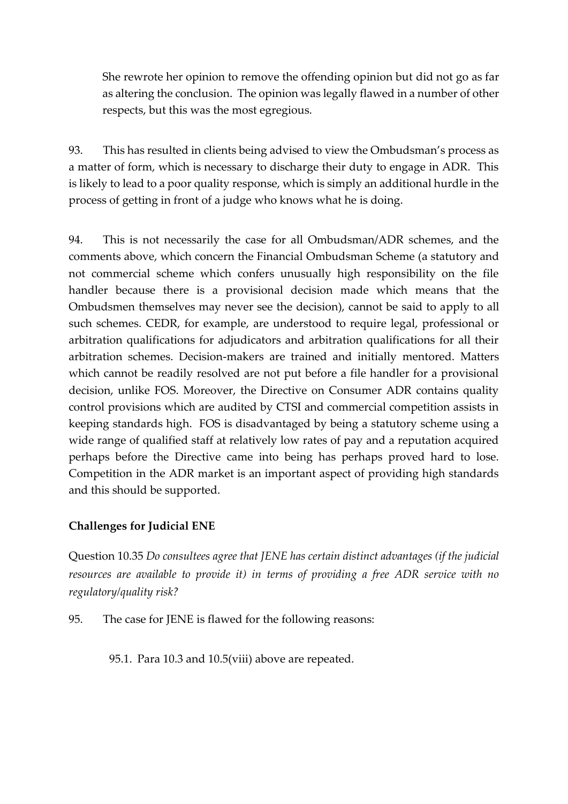She rewrote her opinion to remove the offending opinion but did not go as far as altering the conclusion. The opinion was legally flawed in a number of other respects, but this was the most egregious.

93. This has resulted in clients being advised to view the Ombudsman's process as a matter of form, which is necessary to discharge their duty to engage in ADR. This is likely to lead to a poor quality response, which is simply an additional hurdle in the process of getting in front of a judge who knows what he is doing.

94. This is not necessarily the case for all Ombudsman/ADR schemes, and the comments above, which concern the Financial Ombudsman Scheme (a statutory and not commercial scheme which confers unusually high responsibility on the file handler because there is a provisional decision made which means that the Ombudsmen themselves may never see the decision), cannot be said to apply to all such schemes. CEDR, for example, are understood to require legal, professional or arbitration qualifications for adjudicators and arbitration qualifications for all their arbitration schemes. Decision-makers are trained and initially mentored. Matters which cannot be readily resolved are not put before a file handler for a provisional decision, unlike FOS. Moreover, the Directive on Consumer ADR contains quality control provisions which are audited by CTSI and commercial competition assists in keeping standards high. FOS is disadvantaged by being a statutory scheme using a wide range of qualified staff at relatively low rates of pay and a reputation acquired perhaps before the Directive came into being has perhaps proved hard to lose. Competition in the ADR market is an important aspect of providing high standards and this should be supported.

## **Challenges for Judicial ENE**

Question 10.35 *Do consultees agree that JENE has certain distinct advantages (if the judicial resources are available to provide it) in terms of providing a free ADR service with no regulatory/quality risk?*

95. The case for JENE is flawed for the following reasons:

95.1. Para 10.3 and 10.5(viii) above are repeated.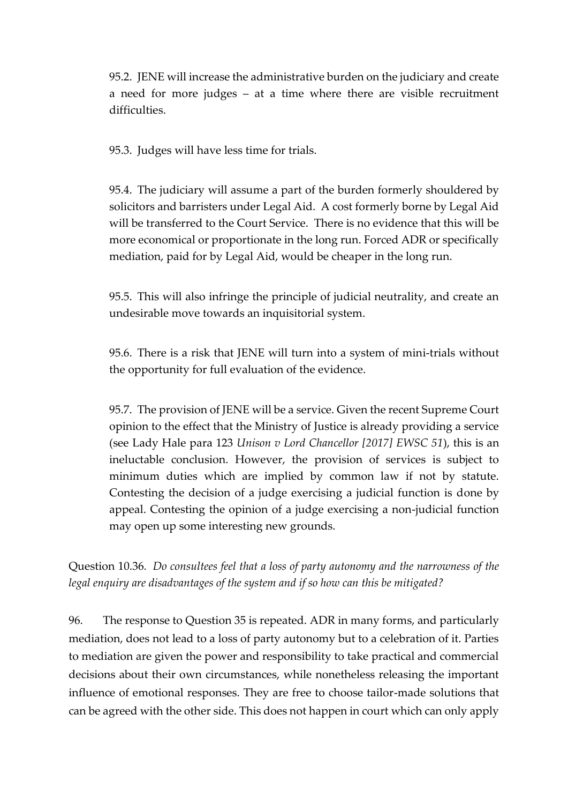95.2. JENE will increase the administrative burden on the judiciary and create a need for more judges – at a time where there are visible recruitment difficulties.

95.3. Judges will have less time for trials.

95.4. The judiciary will assume a part of the burden formerly shouldered by solicitors and barristers under Legal Aid. A cost formerly borne by Legal Aid will be transferred to the Court Service. There is no evidence that this will be more economical or proportionate in the long run. Forced ADR or specifically mediation, paid for by Legal Aid, would be cheaper in the long run.

95.5. This will also infringe the principle of judicial neutrality, and create an undesirable move towards an inquisitorial system.

95.6. There is a risk that JENE will turn into a system of mini-trials without the opportunity for full evaluation of the evidence.

95.7. The provision of JENE will be a service. Given the recent Supreme Court opinion to the effect that the Ministry of Justice is already providing a service (see Lady Hale para 123 *Unison v Lord Chancellor [2017] EWSC 51*), this is an ineluctable conclusion. However, the provision of services is subject to minimum duties which are implied by common law if not by statute. Contesting the decision of a judge exercising a judicial function is done by appeal. Contesting the opinion of a judge exercising a non-judicial function may open up some interesting new grounds.

Question 10.36*. Do consultees feel that a loss of party autonomy and the narrowness of the legal enquiry are disadvantages of the system and if so how can this be mitigated?* 

96. The response to Question 35 is repeated. ADR in many forms, and particularly mediation, does not lead to a loss of party autonomy but to a celebration of it. Parties to mediation are given the power and responsibility to take practical and commercial decisions about their own circumstances, while nonetheless releasing the important influence of emotional responses. They are free to choose tailor-made solutions that can be agreed with the other side. This does not happen in court which can only apply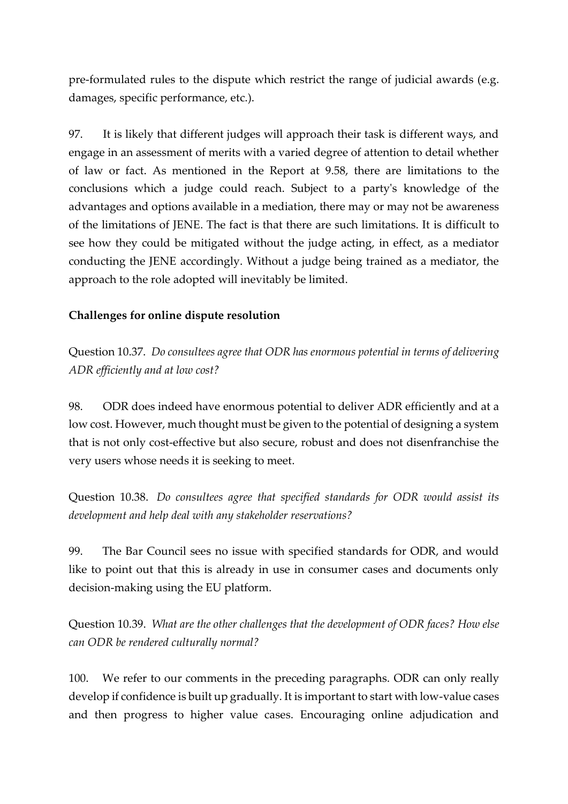pre-formulated rules to the dispute which restrict the range of judicial awards (e.g. damages, specific performance, etc.).

97. It is likely that different judges will approach their task is different ways, and engage in an assessment of merits with a varied degree of attention to detail whether of law or fact. As mentioned in the Report at 9.58, there are limitations to the conclusions which a judge could reach. Subject to a party's knowledge of the advantages and options available in a mediation, there may or may not be awareness of the limitations of JENE. The fact is that there are such limitations. It is difficult to see how they could be mitigated without the judge acting, in effect, as a mediator conducting the JENE accordingly. Without a judge being trained as a mediator, the approach to the role adopted will inevitably be limited.

## **Challenges for online dispute resolution**

Question 10.37. *Do consultees agree that ODR has enormous potential in terms of delivering ADR efficiently and at low cost?* 

98. ODR does indeed have enormous potential to deliver ADR efficiently and at a low cost. However, much thought must be given to the potential of designing a system that is not only cost-effective but also secure, robust and does not disenfranchise the very users whose needs it is seeking to meet.

Question 10.38. *Do consultees agree that specified standards for ODR would assist its development and help deal with any stakeholder reservations?*

99. The Bar Council sees no issue with specified standards for ODR, and would like to point out that this is already in use in consumer cases and documents only decision-making using the EU platform.

Question 10.39. *What are the other challenges that the development of ODR faces? How else can ODR be rendered culturally normal?*

100. We refer to our comments in the preceding paragraphs. ODR can only really develop if confidence is built up gradually. It is important to start with low-value cases and then progress to higher value cases. Encouraging online adjudication and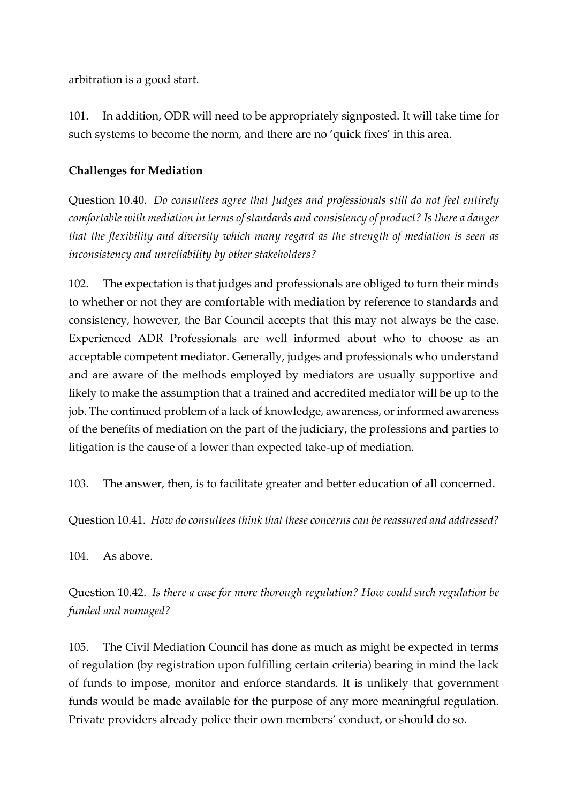arbitration is a good start.

101. In addition, ODR will need to be appropriately signposted. It will take time for such systems to become the norm, and there are no 'quick fixes' in this area.

## **Challenges for Mediation**

Question 10.40. *Do consultees agree that Judges and professionals still do not feel entirely comfortable with mediation in terms of standards and consistency of product? Is there a danger that the flexibility and diversity which many regard as the strength of mediation is seen as inconsistency and unreliability by other stakeholders?*

102. The expectation is that judges and professionals are obliged to turn their minds to whether or not they are comfortable with mediation by reference to standards and consistency, however, the Bar Council accepts that this may not always be the case. Experienced ADR Professionals are well informed about who to choose as an acceptable competent mediator. Generally, judges and professionals who understand and are aware of the methods employed by mediators are usually supportive and likely to make the assumption that a trained and accredited mediator will be up to the job. The continued problem of a lack of knowledge, awareness, or informed awareness of the benefits of mediation on the part of the judiciary, the professions and parties to litigation is the cause of a lower than expected take-up of mediation.

103. The answer, then, is to facilitate greater and better education of all concerned.

Question 10.41. *How do consultees think that these concerns can be reassured and addressed?*

104. As above.

Question 10.42. *Is there a case for more thorough regulation? How could such regulation be funded and managed?* 

105. The Civil Mediation Council has done as much as might be expected in terms of regulation (by registration upon fulfilling certain criteria) bearing in mind the lack of funds to impose, monitor and enforce standards. It is unlikely that government funds would be made available for the purpose of any more meaningful regulation. Private providers already police their own members' conduct, or should do so.